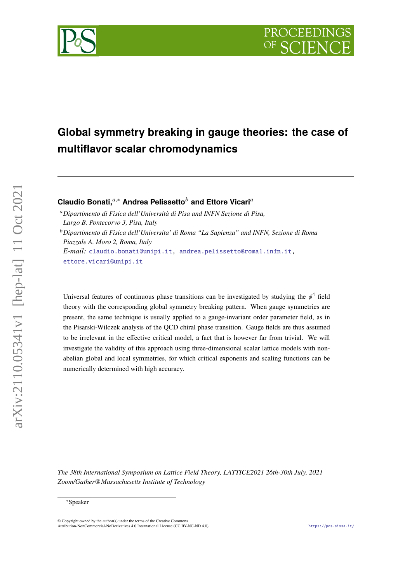# **Global symmetry breaking in gauge theories: the case of multiflavor scalar chromodynamics**

**Claudio Bonati,**<sup>a,\*</sup> Andrea Pelissetto<sup>*b*</sup> and Ettore Vicari<sup>a</sup>

*Dipartimento di Fisica dell'Università di Pisa and INFN Sezione di Pisa, Largo B. Pontecorvo 3, Pisa, Italy*

*Dipartimento di Fisica dell'Universita' di Roma "La Sapienza" and INFN, Sezione di Roma Piazzale A. Moro 2, Roma, Italy*

*E-mail:* [claudio.bonati@unipi.it,](mailto:claudio.bonati@unipi.it) [andrea.pelissetto@roma1.infn.it,](mailto:andrea.pelissetto@roma1.infn.it) [ettore.vicari@unipi.it](mailto:ettore.vicari@unipi.it)

Universal features of continuous phase transitions can be investigated by studying the  $\phi^4$  field theory with the corresponding global symmetry breaking pattern. When gauge symmetries are present, the same technique is usually applied to a gauge-invariant order parameter field, as in the Pisarski-Wilczek analysis of the QCD chiral phase transition. Gauge fields are thus assumed to be irrelevant in the effective critical model, a fact that is however far from trivial. We will investigate the validity of this approach using three-dimensional scalar lattice models with nonabelian global and local symmetries, for which critical exponents and scaling functions can be numerically determined with high accuracy.

*The 38th International Symposium on Lattice Field Theory, LATTICE2021 26th-30th July, 2021 Zoom/Gather@Massachusetts Institute of Technology*



<sup>∗</sup>Speaker

 $\odot$  Copyright owned by the author(s) under the terms of the Creative Common Attribution-NonCommercial-NoDerivatives 4.0 International License (CC BY-NC-ND 4.0). <https://pos.sissa.it/>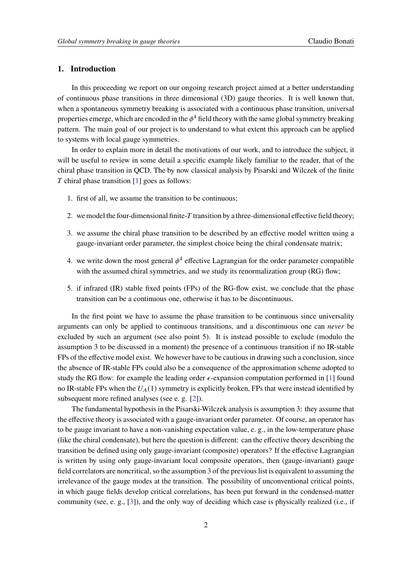## **1. Introduction**

In this proceeding we report on our ongoing research project aimed at a better understanding of continuous phase transitions in three dimensional (3D) gauge theories. It is well known that, when a spontaneous symmetry breaking is associated with a continuous phase transition, universal properties emerge, which are encoded in the  $\phi^4$  field theory with the same global symmetry breaking pattern. The main goal of our project is to understand to what extent this approach can be applied to systems with local gauge symmetries.

In order to explain more in detail the motivations of our work, and to introduce the subject, it will be useful to review in some detail a specific example likely familiar to the reader, that of the chiral phase transition in QCD. The by now classical analysis by Pisarski and Wilczek of the finite  $T$  chiral phase transition [\[1\]](#page-6-0) goes as follows:

- 1. first of all, we assume the transition to be continuous;
- 2. we model the four-dimensional finite- $T$  transition by a three-dimensional effective field theory;
- 3. we assume the chiral phase transition to be described by an effective model written using a gauge-invariant order parameter, the simplest choice being the chiral condensate matrix;
- 4. we write down the most general  $\phi^4$  effective Lagrangian for the order parameter compatible with the assumed chiral symmetries, and we study its renormalization group (RG) flow;
- 5. if infrared (IR) stable fixed points (FPs) of the RG-flow exist, we conclude that the phase transition can be a continuous one, otherwise it has to be discontinuous.

In the first point we have to assume the phase transition to be continuous since universality arguments can only be applied to continuous transitions, and a discontinuous one can *never* be excluded by such an argument (see also point 5). It is instead possible to exclude (modulo the assumption 3 to be discussed in a moment) the presence of a continuous transition if no IR-stable FPs of the effective model exist. We however have to be cautious in drawing such a conclusion, since the absence of IR-stable FPs could also be a consequence of the approximation scheme adopted to study the RG flow: for example the leading order  $\epsilon$ -expansion computation performed in [\[1\]](#page-6-0) found no IR-stable FPs when the  $U_A(1)$  symmetry is explicitly broken, FPs that were instead identified by subsequent more refined analyses (see e. g. [\[2\]](#page-6-1)).

The fundamental hypothesis in the Pisarski-Wilczek analysis is assumption 3: they assume that the effective theory is associated with a gauge-invariant order parameter. Of course, an operator has to be gauge invariant to have a non-vanishing expectation value, e. g., in the low-temperature phase (like the chiral condensate), but here the question is different: can the effective theory describing the transition be defined using only gauge-invariant (composite) operators? If the effective Lagrangian is written by using only gauge-invariant local composite operators, then (gauge-invariant) gauge field correlators are noncritical, so the assumption 3 of the previous list is equivalent to assuming the irrelevance of the gauge modes at the transition. The possibility of unconventional critical points, in which gauge fields develop critical correlations, has been put forward in the condensed-matter community (see, e. g., [\[3\]](#page-6-2)), and the only way of deciding which case is physically realized (i.e., if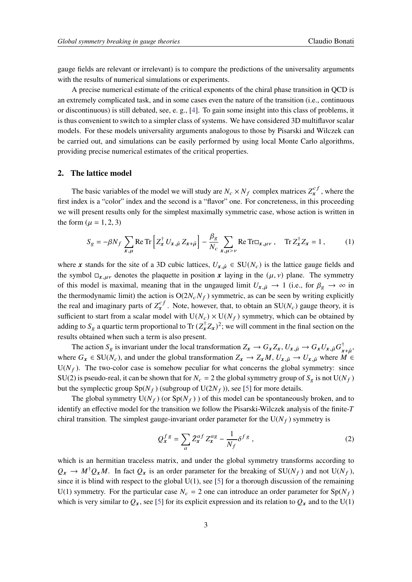gauge fields are relevant or irrelevant) is to compare the predictions of the universality arguments with the results of numerical simulations or experiments.

A precise numerical estimate of the critical exponents of the chiral phase transition in QCD is an extremely complicated task, and in some cases even the nature of the transition (i.e., continuous or discontinuous) is still debated, see, e. g., [\[4\]](#page-6-3). To gain some insight into this class of problems, it is thus convenient to switch to a simpler class of systems. We have considered 3D multiflavor scalar models. For these models universality arguments analogous to those by Pisarski and Wilczek can be carried out, and simulations can be easily performed by using local Monte Carlo algorithms, providing precise numerical estimates of the critical properties.

#### **2. The lattice model**

The basic variables of the model we will study are  $N_c \times N_f$  complex matrices  $Z_x^{c}$  $x^{c}$ , where the first index is a "color" index and the second is a "flavor" one. For concreteness, in this proceeding we will present results only for the simplest maximally symmetric case, whose action is written in the form  $(\mu = 1, 2, 3)$ 

<span id="page-2-0"></span>
$$
S_g = -\beta N_f \sum_{x,\mu} \text{Re Tr} \left[ Z_x^{\dagger} U_{x,\hat{\mu}} Z_{x+\hat{\mu}} \right] - \frac{\beta_g}{N_c} \sum_{x,\mu > \nu} \text{Re Tr} \Box_{x,\mu\nu} , \quad \text{Tr } Z_x^{\dagger} Z_x = 1 , \tag{1}
$$

where x stands for the site of a 3D cubic lattices,  $U_{x,\hat{\mu}} \in SU(N_c)$  is the lattice gauge fields and the symbol  $\Box_{x,\mu\nu}$  denotes the plaquette in position x laying in the  $(\mu, \nu)$  plane. The symmetry of this model is maximal, meaning that in the ungauged limit  $U_{x,\hat{u}} \to 1$  (i.e., for  $\beta_{g} \to \infty$  in the thermodynamic limit) the action is  $O(2N_c N_f)$  symmetric, as can be seen by writing explicitly the real and imaginary parts of  $Z_x^{c}$  $x^{cf}$ . Note, however, that, to obtain an SU( $N_c$ ) gauge theory, it is sufficient to start from a scalar model with  $U(N_c) \times U(N_f)$  symmetry, which can be obtained by adding to  $S_g$  a quartic term proportional to Tr  $(Z_x^{\dagger} Z_x)^2$ ; we will comment in the final section on the results obtained when such a term is also present.

The action  $S_g$  is invariant under the local transformation  $Z_x \to G_x Z_x$ ,  $U_{x,\hat{\mu}} \to G_x U_{x,\hat{\mu}} G_{x+\hat{\mu}}^{\dagger}$ , where  $G_x \in SU(N_c)$ , and under the global transformation  $Z_x \to Z_x M$ ,  $U_{x,\hat{\mu}} \to U_{x,\hat{\mu}}$  where  $M \in$  $U(N_f)$ . The two-color case is somehow peculiar for what concerns the global symmetry: since SU(2) is pseudo-real, it can be shown that for  $N_c = 2$  the global symmetry group of  $S_g$  is not  $U(N_f)$ but the symplectic group  $Sp(N_f)$  (subgroup of  $U(2N_f)$ ), see [\[5\]](#page-6-4) for more details.

The global symmetry  $U(N_f)$  (or  $Sp(N_f)$ ) of this model can be spontaneously broken, and to identify an effective model for the transition we follow the Pisarski-Wilczek analysis of the finite-T chiral transition. The simplest gauge-invariant order parameter for the  $U(N_f)$  symmetry is

<span id="page-2-1"></span>
$$
Q_x^{fs} = \sum_a \bar{Z}_x^{af} Z_x^{ag} - \frac{1}{N_f} \delta^{fs} , \qquad (2)
$$

which is an hermitian traceless matrix, and under the global symmetry transforms according to  $Q_x \to M^{\dagger} Q_x M$ . In fact  $Q_x$  is an order parameter for the breaking of SU( $N_f$ ) and not U( $N_f$ ), since it is blind with respect to the global  $U(1)$ , see [\[5\]](#page-6-4) for a thorough discussion of the remaining U(1) symmetry. For the particular case  $N_c = 2$  one can introduce an order parameter for  $Sp(N_f)$ which is very similar to  $Q_x$ , see [\[5\]](#page-6-4) for its explicit expression and its relation to  $Q_x$  and to the U(1)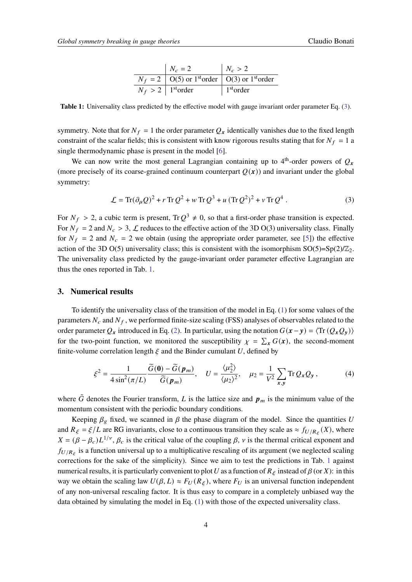| $N_c = 2$                                                                 | $N_c > 2$                     |
|---------------------------------------------------------------------------|-------------------------------|
| $N_f = 2$   O(5) or 1 <sup>st</sup> order   O(3) or 1 <sup>st</sup> order |                               |
| $N_f > 2$   1 <sup>st</sup> order                                         | $\vert$ 1 <sup>st</sup> order |

<span id="page-3-1"></span>**Table 1:** Universality class predicted by the effective model with gauge invariant order parameter Eq. [\(3\)](#page-3-0).

symmetry. Note that for  $N_f = 1$  the order parameter  $Q_x$  identically vanishes due to the fixed length constraint of the scalar fields; this is consistent with know rigorous results stating that for  $N_f = 1$  a single thermodynamic phase is present in the model [\[6\]](#page-6-5).

We can now write the most general Lagrangian containing up to  $4<sup>th</sup>$ -order powers of  $Q_x$ (more precisely of its coarse-grained continuum counterpart  $Q(x)$ ) and invariant under the global symmetry:

<span id="page-3-0"></span>
$$
\mathcal{L} = \text{Tr}(\partial_{\mu}Q)^{2} + r \text{ Tr } Q^{2} + w \text{ Tr } Q^{3} + u (\text{Tr } Q^{2})^{2} + v \text{ Tr } Q^{4}.
$$
 (3)

For  $N_f > 2$ , a cubic term is present, Tr $Q^3 \neq 0$ , so that a first-order phase transition is expected. For  $N_f = 2$  and  $N_c > 3$ ,  $\mathcal L$  reduces to the effective action of the 3D O(3) universality class. Finally for  $N_f = 2$  and  $N_c = 2$  we obtain (using the appropriate order parameter, see [\[5\]](#page-6-4)) the effective action of the 3D O(5) universality class; this is consistent with the isomorphism  $SO(5)=Sp(2)/\mathbb{Z}_2$ . The universality class predicted by the gauge-invariant order parameter effective Lagrangian are thus the ones reported in Tab. [1.](#page-3-1)

## **3. Numerical results**

To identify the universality class of the transition of the model in Eq. [\(1\)](#page-2-0) for some values of the parameters  $N_c$  and  $N_f$ , we performed finite-size scaling (FSS) analyses of observables related to the order parameter  $Q_x$  introduced in Eq. [\(2\)](#page-2-1). In particular, using the notation  $G(x - y) = \langle \text{Tr} (Q_x Q_y) \rangle$ for the two-point function, we monitored the susceptibility  $\chi = \sum_{x} G(x)$ , the second-moment finite-volume correlation length  $\xi$  and the Binder cumulant U, defined by

$$
\xi^2 = \frac{1}{4\sin^2(\pi/L)} \frac{\widetilde{G}(\mathbf{0}) - \widetilde{G}(\mathbf{p}_m)}{\widetilde{G}(\mathbf{p}_m)}, \quad U = \frac{\langle \mu_2^2 \rangle}{\langle \mu_2 \rangle^2}, \quad \mu_2 = \frac{1}{V^2} \sum_{\mathbf{x}, \mathbf{y}} \text{Tr} \, Q_{\mathbf{x}} Q_{\mathbf{y}} , \tag{4}
$$

where  $\tilde{G}$  denotes the Fourier transform, L is the lattice size and  $p_m$  is the minimum value of the momentum consistent with the periodic boundary conditions.

Keeping  $\beta_g$  fixed, we scanned in  $\beta$  the phase diagram of the model. Since the quantities U and  $R_{\xi} = \xi/L$  are RG invariants, close to a continuous transition they scale as  $\approx f_{U/R_{\xi}}(X)$ , where  $X = (\beta - \beta_c)L^{1/\nu}, \beta_c$  is the critical value of the coupling  $\beta$ ,  $\nu$  is the thermal critical exponent and  $f_{U/R_{\xi}}$  is a function universal up to a multiplicative rescaling of its argument (we neglected scaling corrections for the sake of the simplicity). Since we aim to test the predictions in Tab. [1](#page-3-1) against numerical results, it is particularly convenient to plot U as a function of  $R_\xi$  instead of  $\beta$  (or X): in this way we obtain the scaling law  $U(\beta, L) \approx F_U(R_\xi)$ , where  $F_U$  is an universal function independent of any non-universal rescaling factor. It is thus easy to compare in a completely unbiased way the data obtained by simulating the model in Eq. [\(1\)](#page-2-0) with those of the expected universality class.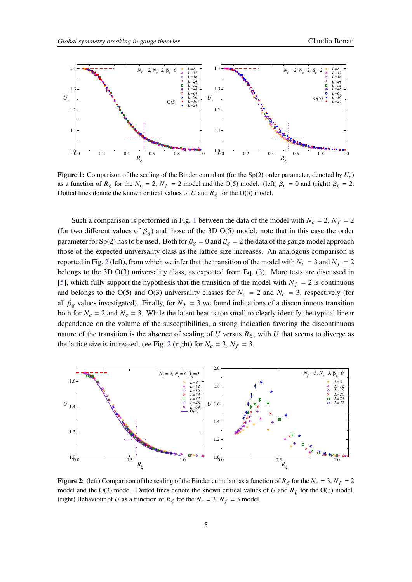<span id="page-4-0"></span>

**Figure 1:** Comparison of the scaling of the Binder cumulant (for the Sp(2) order parameter, denoted by  $U_r$ ) as a function of  $R_{\xi}$  for the  $N_c = 2$ ,  $N_f = 2$  model and the O(5) model. (left)  $\beta_g = 0$  and (right)  $\beta_g = 2$ . Dotted lines denote the known critical values of U and  $R_{\xi}$  for the O(5) model.

Such a comparison is performed in Fig. [1](#page-4-0) between the data of the model with  $N_c = 2$ ,  $N_f = 2$ (for two different values of  $\beta_g$ ) and those of the 3D O(5) model; note that in this case the order parameter for Sp(2) has to be used. Both for  $\beta_g = 0$  and  $\beta_g = 2$  the data of the gauge model approach those of the expected universality class as the lattice size increases. An analogous comparison is reported in Fig. [2](#page-4-1) (left), from which we infer that the transition of the model with  $N_c = 3$  and  $N_f = 2$ belongs to the 3D O(3) universality class, as expected from Eq. [\(3\)](#page-3-0). More tests are discussed in [\[5\]](#page-6-4), which fully support the hypothesis that the transition of the model with  $N_f = 2$  is continuous and belongs to the O(5) and O(3) universality classes for  $N_c = 2$  and  $N_c = 3$ , respectively (for all  $\beta_g$  values investigated). Finally, for  $N_f = 3$  we found indications of a discontinuous transition both for  $N_c = 2$  and  $N_c = 3$ . While the latent heat is too small to clearly identify the typical linear dependence on the volume of the susceptibilities, a strong indication favoring the discontinuous nature of the transition is the absence of scaling of U versus  $R_{\xi}$ , with U that seems to diverge as the lattice size is increased, see Fig. [2](#page-4-1) (right) for  $N_c = 3$ ,  $N_f = 3$ .

<span id="page-4-1"></span>

**Figure 2:** (left) Comparison of the scaling of the Binder cumulant as a function of  $R_{\xi}$  for the  $N_c = 3$ ,  $N_f = 2$ model and the O(3) model. Dotted lines denote the known critical values of U and  $R_{\xi}$  for the O(3) model. (right) Behaviour of U as a function of  $R_{\xi}$  for the  $N_c = 3$ ,  $N_f = 3$  model.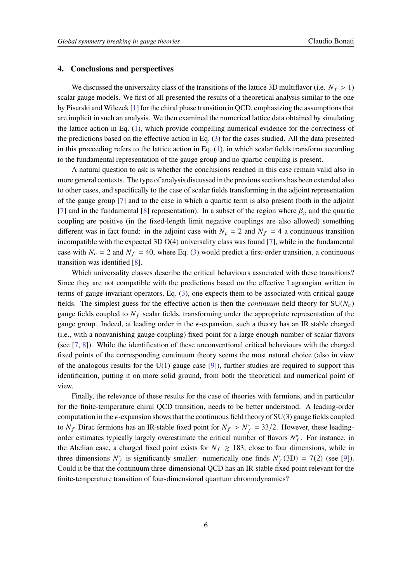#### **4. Conclusions and perspectives**

We discussed the universality class of the transitions of the lattice 3D multiflavor (i.e.  $N_f > 1$ ) scalar gauge models. We first of all presented the results of a theoretical analysis similar to the one by Pisarski and Wilczek [\[1\]](#page-6-0) for the chiral phase transition in QCD, emphasizing the assumptions that are implicit in such an analysis. We then examined the numerical lattice data obtained by simulating the lattice action in Eq. [\(1\)](#page-2-0), which provide compelling numerical evidence for the correctness of the predictions based on the effective action in Eq. [\(3\)](#page-3-0) for the cases studied. All the data presented in this proceeding refers to the lattice action in Eq. [\(1\)](#page-2-0), in which scalar fields transform according to the fundamental representation of the gauge group and no quartic coupling is present.

A natural question to ask is whether the conclusions reached in this case remain valid also in more general contexts. The type of analysis discussed in the previous sections has been extended also to other cases, and specifically to the case of scalar fields transforming in the adjoint representation of the gauge group [\[7\]](#page-6-6) and to the case in which a quartic term is also present (both in the adjoint [\[7\]](#page-6-6) and in the fundamental [\[8\]](#page-6-7) representation). In a subset of the region where  $\beta_g$  and the quartic coupling are positive (in the fixed-length limit negative couplings are also allowed) something different was in fact found: in the adjoint case with  $N_c = 2$  and  $N_f = 4$  a continuous transition incompatible with the expected 3D O(4) universality class was found [\[7\]](#page-6-6), while in the fundamental case with  $N_c = 2$  and  $N_f = 40$ , where Eq. [\(3\)](#page-3-0) would predict a first-order transition, a continuous transition was identified [\[8\]](#page-6-7).

Which universality classes describe the critical behaviours associated with these transitions? Since they are not compatible with the predictions based on the effective Lagrangian written in terms of gauge-invariant operators, Eq. [\(3\)](#page-3-0), one expects them to be associated with critical gauge fields. The simplest guess for the effective action is then the *continuum* field theory for  $SU(N_c)$ gauge fields coupled to  $N_f$  scalar fields, transforming under the appropriate representation of the gauge group. Indeed, at leading order in the  $\epsilon$ -expansion, such a theory has an IR stable charged (i.e., with a nonvanishing gauge coupling) fixed point for a large enough number of scalar flavors (see [\[7,](#page-6-6) [8\]](#page-6-7)). While the identification of these unconventional critical behaviours with the charged fixed points of the corresponding continuum theory seems the most natural choice (also in view of the analogous results for the  $U(1)$  gauge case [\[9\]](#page-6-8)), further studies are required to support this identification, putting it on more solid ground, from both the theoretical and numerical point of view.

Finally, the relevance of these results for the case of theories with fermions, and in particular for the finite-temperature chiral QCD transition, needs to be better understood. A leading-order computation in the  $\epsilon$ -expansion shows that the continuous field theory of SU(3) gauge fields coupled to  $N_f$  Dirac fermions has an IR-stable fixed point for  $N_f > N_f^* = 33/2$ . However, these leadingorder estimates typically largely overestimate the critical number of flavors  $N_f^*$ . For instance, in the Abelian case, a charged fixed point exists for  $N_f \ge 183$ , close to four dimensions, while in three dimensions  $N_f^*$  is significantly smaller: numerically one finds  $N_f^*(3D) = 7(2)$  (see [\[9\]](#page-6-8)). Could it be that the continuum three-dimensional QCD has an IR-stable fixed point relevant for the finite-temperature transition of four-dimensional quantum chromodynamics?